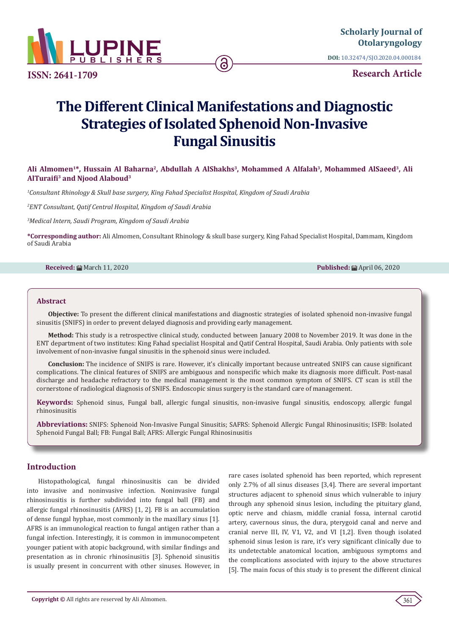

**ISSN: 2641-1709**

**DOI:** [10.32474/SJO.2020.04.000184](http://dx.doi.org/10.32474/SJO.2020.04.000184)

**Research Article**

# **The Different Clinical Manifestations and Diagnostic Strategies of Isolated Sphenoid Non-Invasive Fungal Sinusitis**

# Ali Almomen<sup>1\*</sup>, Hussain Al Baharna<sup>2</sup>, Abdullah A AlShakhs<sup>3</sup>, Mohammed A Alfalah<sup>3</sup>, Mohammed AlSaeed<sup>3</sup>, Ali **AlTuraifi3 and Njood Alaboud3**

*1 Consultant Rhinology & Skull base surgery, King Fahad Specialist Hospital, Kingdom of Saudi Arabia*

*2 ENT Consultant, Qatif Central Hospital, Kingdom of Saudi Arabia*

*3 Medical Intern, Saudi Program, Kingdom of Saudi Arabia*

**\*Corresponding author:** Ali Almomen, Consultant Rhinology & skull base surgery, King Fahad Specialist Hospital, Dammam, Kingdom of Saudi Arabia

## **Received:** ■ March 11, 2020 **Published:** ■ March 11, 2020 **Published:** April 06, 2020

#### **Abstract**

**Objective:** To present the different clinical manifestations and diagnostic strategies of isolated sphenoid non-invasive fungal sinusitis (SNIFS) in order to prevent delayed diagnosis and providing early management.

**Method:** This study is a retrospective clinical study, conducted between January 2008 to November 2019. It was done in the ENT department of two institutes: King Fahad specialist Hospital and Qatif Central Hospital, Saudi Arabia. Only patients with sole involvement of non-invasive fungal sinusitis in the sphenoid sinus were included.

**Conclusion:** The incidence of SNIFS is rare. However, it's clinically important because untreated SNIFS can cause significant complications. The clinical features of SNIFS are ambiguous and nonspecific which make its diagnosis more difficult. Post-nasal discharge and headache refractory to the medical management is the most common symptom of SNIFS. CT scan is still the cornerstone of radiological diagnosis of SNIFS. Endoscopic sinus surgery is the standard care of management.

**Keywords:** Sphenoid sinus, Fungal ball, allergic fungal sinusitis, non-invasive fungal sinusitis, endoscopy, allergic fungal rhinosinusitis

**Abbreviations:** SNIFS: Sphenoid Non-Invasive Fungal Sinusitis; SAFRS: Sphenoid Allergic Fungal Rhinosinusitis; ISFB: Isolated Sphenoid Fungal Ball; FB: Fungal Ball; AFRS: Allergic Fungal Rhinosinusitis

#### **Introduction**

Histopathological, fungal rhinosinusitis can be divided into invasive and noninvasive infection. Noninvasive fungal rhinosinusitis is further subdivided into fungal ball (FB) and allergic fungal rhinosinusitis (AFRS) [1, 2]. FB is an accumulation of dense fungal hyphae, most commonly in the maxillary sinus [1]. AFRS is an immunological reaction to fungal antigen rather than a fungal infection. Interestingly, it is common in immunocompetent younger patient with atopic background, with similar findings and presentation as in chronic rhinosinusitis [3]. Sphenoid sinusitis is usually present in concurrent with other sinuses. However, in

rare cases isolated sphenoid has been reported, which represent only 2.7% of all sinus diseases [3,4]. There are several important structures adjacent to sphenoid sinus which vulnerable to injury through any sphenoid sinus lesion, including the pituitary gland, optic nerve and chiasm, middle cranial fossa, internal carotid artery, cavernous sinus, the dura, pterygoid canal and nerve and cranial nerve III, IV, V1, V2, and VI [1,2]. Even though isolated sphenoid sinus lesion is rare, it's very significant clinically due to its undetectable anatomical location, ambiguous symptoms and the complications associated with injury to the above structures [5]. The main focus of this study is to present the different clinical

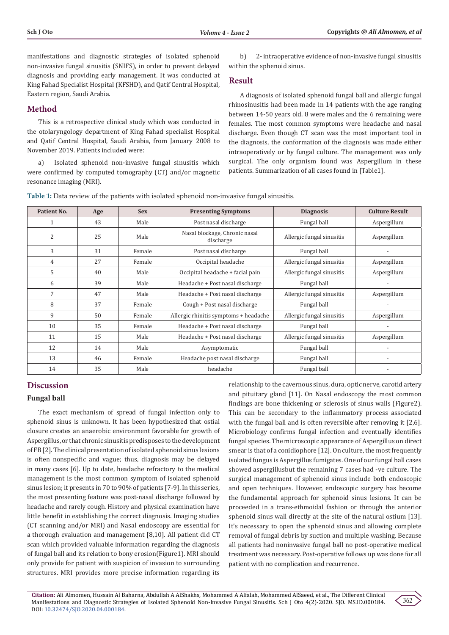manifestations and diagnostic strategies of isolated sphenoid non-invasive fungal sinusitis (SNIFS), in order to prevent delayed diagnosis and providing early management. It was conducted at King Fahad Specialist Hospital (KFSHD), and Qatif Central Hospital, Eastern region, Saudi Arabia.

# **Method**

This is a retrospective clinical study which was conducted in the otolaryngology department of King Fahad specialist Hospital and Qatif Central Hospital, Saudi Arabia, from January 2008 to November 2019. Patients included were:

a) Isolated sphenoid non-invasive fungal sinusitis which were confirmed by computed tomography (CT) and/or magnetic resonance imaging (MRI).

b) 2- intraoperative evidence of non-invasive fungal sinusitis within the sphenoid sinus.

## **Result**

A diagnosis of isolated sphenoid fungal ball and allergic fungal rhinosinusitis had been made in 14 patients with the age ranging between 14-50 years old. 8 were males and the 6 remaining were females. The most common symptoms were headache and nasal discharge. Even though CT scan was the most important tool in the diagnosis, the conformation of the diagnosis was made either intraoperatively or by fungal culture. The management was only surgical. The only organism found was Aspergillum in these patients. Summarization of all cases found in [Table1].

**Table 1:** Data review of the patients with isolated sphenoid non-invasive fungal sinusitis.

| Patient No. | Age | <b>Sex</b> | <b>Presenting Symptoms</b>                 | <b>Diagnosis</b>          | <b>Culture Result</b>    |
|-------------|-----|------------|--------------------------------------------|---------------------------|--------------------------|
|             | 43  | Male       | Post nasal discharge                       | Fungal ball               | Aspergillum              |
| 2           | 25  | Male       | Nasal blockage, Chronic nasal<br>discharge | Allergic fungal sinusitis | Aspergillum              |
| 3           | 31  | Female     | Post nasal discharge                       | Fungal ball               |                          |
| 4           | 27  | Female     | Occipital headache                         | Allergic fungal sinusitis | Aspergillum              |
| 5           | 40  | Male       | Occipital headache + facial pain           | Allergic fungal sinusitis | Aspergillum              |
| 6           | 39  | Male       | Headache + Post nasal discharge            | Fungal ball               |                          |
| 7           | 47  | Male       | Headache + Post nasal discharge            | Allergic fungal sinusitis | Aspergillum              |
| 8           | 37  | Female     | Cough + Post nasal discharge               | Fungal ball               |                          |
| 9           | 50  | Female     | Allergic rhinitis symptoms + headache      | Allergic fungal sinusitis | Aspergillum              |
| 10          | 35  | Female     | Headache + Post nasal discharge            | Fungal ball               |                          |
| 11          | 15  | Male       | Headache + Post nasal discharge            | Allergic fungal sinusitis | Aspergillum              |
| 12          | 14  | Male       | Asymptomatic                               | Fungal ball               |                          |
| 13          | 46  | Female     | Headache post nasal discharge              | Fungal ball               | $\overline{\phantom{a}}$ |
| 14          | 35  | Male       | headache                                   | Fungal ball               |                          |

## **Discussion**

#### **Fungal ball**

The exact mechanism of spread of fungal infection only to sphenoid sinus is unknown. It has been hypothesized that ostial closure creates an anaerobic environment favorable for growth of Aspergillus, or that chronic sinusitis predisposes to the development of FB [2]. The clinical presentation of isolated sphenoid sinus lesions is often nonspecific and vague; thus, diagnosis may be delayed in many cases [6]. Up to date, headache refractory to the medical management is the most common symptom of isolated sphenoid sinus lesion; it presents in 70 to 90% of patients [7-9]. In this series, the most presenting feature was post-nasal discharge followed by headache and rarely cough. History and physical examination have little benefit in establishing the correct diagnosis. Imaging studies (CT scanning and/or MRI) and Nasal endoscopy are essential for a thorough evaluation and management [8,10]. All patient did CT scan which provided valuable information regarding the diagnosis of fungal ball and its relation to bony erosion(Figure1). MRI should only provide for patient with suspicion of invasion to surrounding structures. MRI provides more precise information regarding its

relationship to the cavernous sinus, dura, optic nerve, carotid artery and pituitary gland [11]. On Nasal endoscopy the most common findings are bone thickening or sclerosis of sinus walls (Figure2). This can be secondary to the inflammatory process associated with the fungal ball and is often reversible after removing it [2,6]. Microbiology confirms fungal infection and eventually identifies fungal species. The microscopic appearance of Aspergillus on direct smear is that of a conidiophore [12]. On culture, the most frequently isolated fungus is Aspergillus fumigates. One of our fungal ball cases showed aspergillusbut the remaining 7 cases had -ve culture. The surgical management of sphenoid sinus include both endoscopic and open techniques. However, endoscopic surgery has become the fundamental approach for sphenoid sinus lesions. It can be proceeded in a trans-ethmoidal fashion or through the anterior sphenoid sinus wall directly at the site of the natural ostium [13]. It's necessary to open the sphenoid sinus and allowing complete removal of fungal debris by suction and multiple washing. Because all patients had noninvasive fungal ball no post-operative medical treatment was necessary. Post-operative follows up was done for all patient with no complication and recurrence.

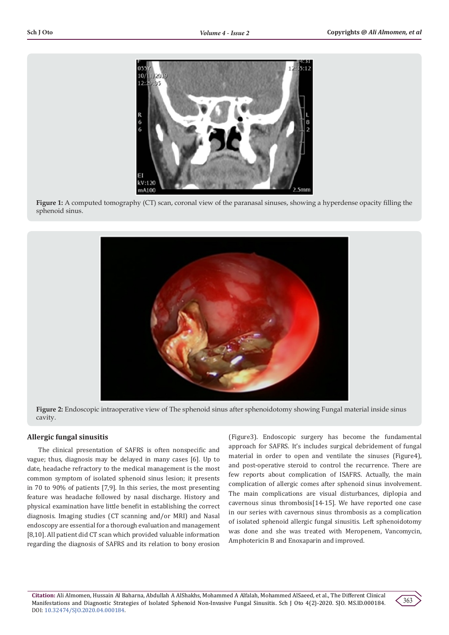

**Figure 1:** A computed tomography (CT) scan, coronal view of the paranasal sinuses, showing a hyperdense opacity filling the sphenoid sinus.



**Figure 2:** Endoscopic intraoperative view of The sphenoid sinus after sphenoidotomy showing Fungal material inside sinus cavity.

#### **Allergic fungal sinusitis**

The clinical presentation of SAFRS is often nonspecific and vague; thus, diagnosis may be delayed in many cases [6]. Up to date, headache refractory to the medical management is the most common symptom of isolated sphenoid sinus lesion; it presents in 70 to 90% of patients [7,9]. In this series, the most presenting feature was headache followed by nasal discharge. History and physical examination have little benefit in establishing the correct diagnosis. Imaging studies (CT scanning and/or MRI) and Nasal endoscopy are essential for a thorough evaluation and management [8,10]. All patient did CT scan which provided valuable information regarding the diagnosis of SAFRS and its relation to bony erosion

(Figure3). Endoscopic surgery has become the fundamental approach for SAFRS. It's includes surgical debridement of fungal material in order to open and ventilate the sinuses (Figure4), and post-operative steroid to control the recurrence. There are few reports about complication of ISAFRS. Actually, the main complication of allergic comes after sphenoid sinus involvement. The main complications are visual disturbances, diplopia and cavernous sinus thrombosis[14-15]. We have reported one case in our series with cavernous sinus thrombosis as a complication of isolated sphenoid allergic fungal sinusitis. Left sphenoidotomy was done and she was treated with Meropenem, Vancomycin, Amphotericin B and Enoxaparin and improved.

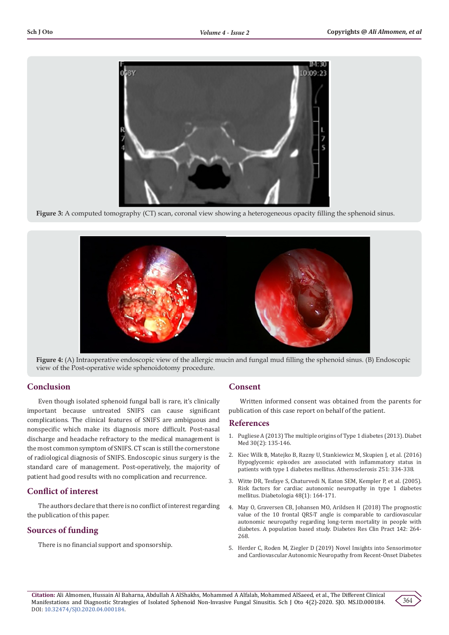

**Figure 3:** A computed tomography (CT) scan, coronal view showing a heterogeneous opacity filling the sphenoid sinus.





# **Conclusion**

Even though isolated sphenoid fungal ball is rare, it's clinically important because untreated SNIFS can cause significant complications. The clinical features of SNIFS are ambiguous and nonspecific which make its diagnosis more difficult. Post-nasal discharge and headache refractory to the medical management is the most common symptom of SNIFS. CT scan is still the cornerstone of radiological diagnosis of SNIFS. Endoscopic sinus surgery is the standard care of management. Post-operatively, the majority of patient had good results with no complication and recurrence.

# **Conflict of interest**

The authors declare that there is no conflict of interest regarding the publication of this paper.

# **Sources of funding**

There is no financial support and sponsorship.

# **Consent**

Written informed consent was obtained from the parents for publication of this case report on behalf of the patient.

## **References**

- 1. [Pugliese A \(2013\) The multiple origins of Type 1 diabetes \(2013\).](https://www.ncbi.nlm.nih.gov/pubmed/23181718) Diabet [Med 30\(2\): 135-146.](https://www.ncbi.nlm.nih.gov/pubmed/23181718)
- 2. Kiec Wilk B, [Matejko B, Razny U, Stankiewicz M, Skupien J, et al. \(2016\)](https://www.ncbi.nlm.nih.gov/pubmed/27237074) [Hypoglycemic episodes are associated with inflammatory status in](https://www.ncbi.nlm.nih.gov/pubmed/27237074) [patients with type 1 diabetes mellitus.](https://www.ncbi.nlm.nih.gov/pubmed/27237074) Atherosclerosis 251: 334-338.
- 3. [Witte DR, Tesfaye S, Chaturvedi N, Eaton SEM, Kempler P, et al. \(2005\).](https://www.ncbi.nlm.nih.gov/pubmed/15619072) [Risk factors for cardiac autonomic neuropathy in type 1 diabetes](https://www.ncbi.nlm.nih.gov/pubmed/15619072) mellitus. [Diabetologia 48\(1\): 164-171.](https://www.ncbi.nlm.nih.gov/pubmed/15619072)
- 4. [May O, Graversen CB, Johansen MO, Arildsen H \(2018\) The prognostic](https://www.ncbi.nlm.nih.gov/pubmed/29775674) value of the 10 frontal QRS-T [angle is comparable to cardiovascular](https://www.ncbi.nlm.nih.gov/pubmed/29775674) [autonomic neuropathy regarding](https://www.ncbi.nlm.nih.gov/pubmed/29775674) long-term mortality in people with [diabetes. A population based study.](https://www.ncbi.nlm.nih.gov/pubmed/29775674) Diabetes Res Clin Pract 142: 264- [268.](https://www.ncbi.nlm.nih.gov/pubmed/29775674)
- 5. [Herder C, Roden M, Ziegler D \(2019\) Novel Insights into Sensorimotor](https://www.ncbi.nlm.nih.gov/pubmed/30935671) [and Cardiovascular Autonomic Neuropathy from](https://www.ncbi.nlm.nih.gov/pubmed/30935671) Recent-Onset Diabetes

**Citation:** Ali Almomen, Hussain Al Baharna, Abdullah A AlShakhs, Mohammed A Alfalah, Mohammed AlSaeed, et al., The Different Clinical Manifestations and Diagnostic Strategies of Isolated Sphenoid Non-Invasive Fungal Sinusitis. Sch J Oto 4(2)-2020. SJO. MS.ID.000184. DOI: [10.32474/SJO.2020.04.000184](http://dx.doi.org/10.32474/SJO.2020.04.000184).